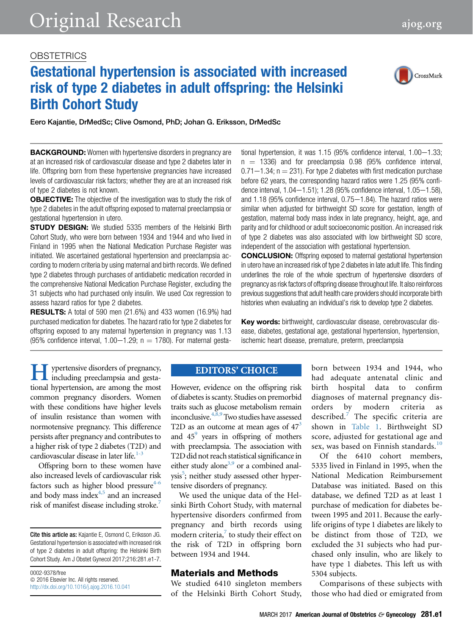# **OBSTETRICS**

# Gestational hypertension is associated with increased risk of type 2 diabetes in adult offspring: the Helsinki Birth Cohort Study



Eero Kajantie, DrMedSc; Clive Osmond, PhD; Johan G. Eriksson, DrMedSc

**BACKGROUND:** Women with hypertensive disorders in pregnancy are at an increased risk of cardiovascular disease and type 2 diabetes later in life. Offspring born from these hypertensive pregnancies have increased levels of cardiovascular risk factors; whether they are at an increased risk of type 2 diabetes is not known.

**OBJECTIVE:** The objective of the investigation was to study the risk of type 2 diabetes in the adult offspring exposed to maternal preeclampsia or gestational hypertension in utero.

**STUDY DESIGN:** We studied 5335 members of the Helsinki Birth Cohort Study, who were born between 1934 and 1944 and who lived in Finland in 1995 when the National Medication Purchase Register was initiated. We ascertained gestational hypertension and preeclampsia according to modern criteria by using maternal and birth records. We defined type 2 diabetes through purchases of antidiabetic medication recorded in the comprehensive National Medication Purchase Register, excluding the 31 subjects who had purchased only insulin. We used Cox regression to assess hazard ratios for type 2 diabetes.

**RESULTS:** A total of 590 men (21.6%) and 433 women (16.9%) had purchased medication for diabetes. The hazard ratio for type 2 diabetes for offspring exposed to any maternal hypertension in pregnancy was 1.13 (95% confidence interval, 1.00-1.29;  $n = 1780$ ). For maternal gestational hypertension, it was  $1.15$  (95% confidence interval,  $1.00-1.33$ ;  $n = 1336$ ) and for preeclampsia 0.98 (95% confidence interval,  $0.71-1.34$ ; n  $= 231$ ). For type 2 diabetes with first medication purchase before 62 years, the corresponding hazard ratios were 1.25 (95% confidence interval,  $1.04-1.51$ ; 1.28 (95% confidence interval,  $1.05-1.58$ ), and  $1.18$  (95% confidence interval,  $0.75-1.84$ ). The hazard ratios were similar when adjusted for birthweight SD score for gestation, length of gestation, maternal body mass index in late pregnancy, height, age, and parity and for childhood or adult socioeconomic position. An increased risk of type 2 diabetes was also associated with low birthweight SD score, independent of the association with gestational hypertension.

CONCLUSION: Offspring exposed to maternal gestational hypertension in utero have an increased risk of type 2 diabetes in late adult life. This finding underlines the role of the whole spectrum of hypertensive disorders of pregnancy as risk factors of offspring disease throughout life. It also reinforces previous suggestions that adult health care providers should incorporate birth histories when evaluating an individual's risk to develop type 2 diabetes.

Key words: birthweight, cardiovascular disease, cerebrovascular disease, diabetes, gestational age, gestational hypertension, hypertension, ischemic heart disease, premature, preterm, preeclampsia

**Hypertensive disorders of pregnancy,** including preeclampsia and gestational hypertension, are among the most common pregnancy disorders. Women including preeclampsia and gestational hypertension, are among the most common pregnancy disorders. Women with these conditions have higher levels of insulin resistance than women with normotensive pregnancy. This difference persists after pregnancy and contributes to a higher risk of type 2 diabetes (T2D) and cardiovascular disease in later life.<sup>1-3</sup>

Offspring born to these women have also increased levels of cardiovascular risk factors such as higher blood pressure $4-6$ and body mass index $4,5$  and an increased risk of manifest disease including stroke.<sup>[7](#page-4-0)</sup>

0002-9378/free  $© 2016 Elsevier Inc. All rights reserved.$ <http://dx.doi.org/10.1016/j.ajog.2016.10.041>

### **EDITORS' CHOICE**

However, evidence on the offspring risk of diabetes is scanty. Studies on premorbid traits such as glucose metabolism remain inconclusive.  $4,8,9$  Two studies have assessed T2D as an outcome at mean ages of  $47<sup>3</sup>$ and  $45^9$  years in offspring of mothers with preeclampsia. The association with T2D did not reach statistical significance in either study alone<sup>3,9</sup> or a combined anal-ysis<sup>[5](#page-4-0)</sup>; neither study assessed other hypertensive disorders of pregnancy.

We used the unique data of the Helsinki Birth Cohort Study, with maternal hypertensive disorders confirmed from pregnancy and birth records using modern criteria,<sup>[7](#page-4-0)</sup> to study their effect on the risk of T2D in offspring born between 1934 and 1944.

### Materials and Methods

We studied 6410 singleton members of the Helsinki Birth Cohort Study,

born between 1934 and 1944, who had adequate antenatal clinic and birth hospital data to confirm diagnoses of maternal pregnancy disorders by modern criteria as described. $<sup>7</sup>$  $<sup>7</sup>$  $<sup>7</sup>$  The specific criteria are</sup> shown in [Table 1](#page-1-0). Birthweight SD score, adjusted for gestational age and sex, was based on Finnish standards.<sup>[10](#page-4-0)</sup>

Of the 6410 cohort members, 5335 lived in Finland in 1995, when the National Medication Reimbursement Database was initiated. Based on this database, we defined T2D as at least 1 purchase of medication for diabetes between 1995 and 2011. Because the earlylife origins of type 1 diabetes are likely to be distinct from those of T2D, we excluded the 31 subjects who had purchased only insulin, who are likely to have type 1 diabetes. This left us with 5304 subjects.

Comparisons of these subjects with those who had died or emigrated from

Cite this article as: Kajantie E, Osmond C, Eriksson JG. Gestational hypertension is associated with increased risk of type 2 diabetes in adult offspring: the Helsinki Birth Cohort Study. Am J Obstet Gynecol 2017;216:281.e1-7.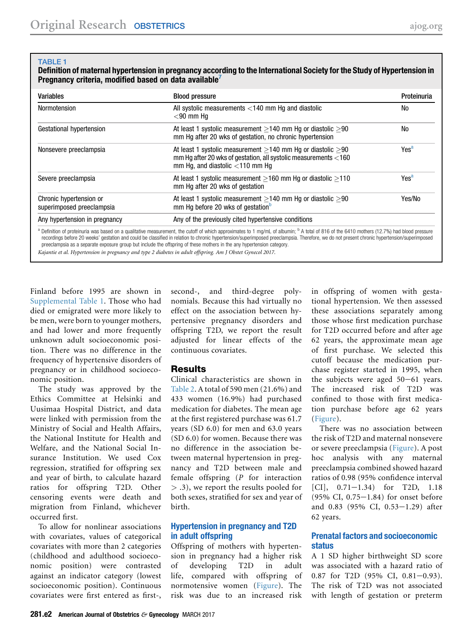#### <span id="page-1-0"></span>TABLE 1

Definition of maternal hypertension in pregnancy according to the International Society for the Study of Hypertension in Pregnancy criteria, modified based on data available<sup>[7](#page-4-0)</sup>

| Variables                                            | <b>Blood pressure</b>                                                                                                                                                                                                                                                                                                                                                                                                                                                                                                           | Proteinuria      |
|------------------------------------------------------|---------------------------------------------------------------------------------------------------------------------------------------------------------------------------------------------------------------------------------------------------------------------------------------------------------------------------------------------------------------------------------------------------------------------------------------------------------------------------------------------------------------------------------|------------------|
| Normotension                                         | All systolic measurements <140 mm Hq and diastolic<br>$<$ 90 mm Ha                                                                                                                                                                                                                                                                                                                                                                                                                                                              | No               |
| Gestational hypertension                             | At least 1 systolic measurement $>$ 140 mm Hg or diastolic $>$ 90<br>mm Hg after 20 wks of gestation, no chronic hypertension                                                                                                                                                                                                                                                                                                                                                                                                   | <b>No</b>        |
| Nonsevere preeclampsia                               | At least 1 systolic measurement $>$ 140 mm Hg or diastolic $>$ 90<br>mm Hg after 20 wks of gestation, all systolic measurements <160<br>mm Hg, and diastolic $<$ 110 mm Hg                                                                                                                                                                                                                                                                                                                                                      | Yes <sup>a</sup> |
| Severe preeclampsia                                  | At least 1 systolic measurement $>$ 160 mm Hg or diastolic $>$ 110<br>mm Hg after 20 wks of gestation                                                                                                                                                                                                                                                                                                                                                                                                                           | Yes <sup>a</sup> |
| Chronic hypertension or<br>superimposed preeclampsia | At least 1 systolic measurement $\geq$ 140 mm Hg or diastolic $\geq$ 90<br>mm Hq before 20 wks of gestation <sup>b</sup>                                                                                                                                                                                                                                                                                                                                                                                                        | Yes/No           |
| Any hypertension in pregnancy                        | Any of the previously cited hypertensive conditions                                                                                                                                                                                                                                                                                                                                                                                                                                                                             |                  |
|                                                      | a Definition of proteinuria was based on a qualitative measurement, the cutoff of which approximates to 1 mg/mL of albumin; <sup>b</sup> A total of 816 of the 6410 mothers (12.7%) had blood pressure<br>recordings before 20 weeks' gestation and could be classified in relation to chronic hypertension/superimposed preeclampsia. Therefore, we do not present chronic hypertension/superimposed<br>preeclampsia as a separate exposure group but include the offspring of these mothers in the any hypertension category. |                  |

Kajantie et al. Hypertension in pregnancy and type 2 diabetes in adult offspring. Am J Obstet Gynecol 2017.

Finland before 1995 are shown in [Supplemental Table 1.](#page-6-0) Those who had died or emigrated were more likely to be men, were born to younger mothers, and had lower and more frequently unknown adult socioeconomic position. There was no difference in the frequency of hypertensive disorders of pregnancy or in childhood socioeconomic position.

The study was approved by the Ethics Committee at Helsinki and Uusimaa Hospital District, and data were linked with permission from the Ministry of Social and Health Affairs, the National Institute for Health and Welfare, and the National Social Insurance Institution. We used Cox regression, stratified for offspring sex and year of birth, to calculate hazard ratios for offspring T2D. Other censoring events were death and migration from Finland, whichever occurred first.

To allow for nonlinear associations with covariates, values of categorical covariates with more than 2 categories (childhood and adulthood socioeconomic position) were contrasted against an indicator category (lowest socioeconomic position). Continuous covariates were first entered as first-,

second-, and third-degree polynomials. Because this had virtually no effect on the association between hypertensive pregnancy disorders and offspring T2D, we report the result adjusted for linear effects of the continuous covariates.

## **Results**

Clinical characteristics are shown in [Table 2.](#page-2-0) A total of 590 men (21.6%) and 433 women (16.9%) had purchased medication for diabetes. The mean age at the first registered purchase was 61.7 years (SD 6.0) for men and 63.0 years (SD 6.0) for women. Because there was no difference in the association between maternal hypertension in pregnancy and T2D between male and female offspring (P for interaction > .3), we report the results pooled for both sexes, stratified for sex and year of birth.

### Hypertension in pregnancy and T2D in adult offspring

Offspring of mothers with hypertension in pregnancy had a higher risk of developing T2D in adult life, compared with offspring of normotensive women ([Figure\)](#page-3-0). The risk was due to an increased risk

in offspring of women with gestational hypertension. We then assessed these associations separately among those whose first medication purchase for T2D occurred before and after age 62 years, the approximate mean age of first purchase. We selected this cutoff because the medication purchase register started in 1995, when the subjects were aged  $50-61$  years. The increased risk of T2D was confined to those with first medication purchase before age 62 years [\(Figure\)](#page-3-0).

There was no association between the risk of T2D and maternal nonsevere or severe preeclampsia ([Figure](#page-3-0)). A post hoc analysis with any maternal preeclampsia combined showed hazard ratios of 0.98 (95% confidence interval  $[CI], 0.71-1.34$  for T2D, 1.18  $(95\% \text{ CI}, 0.75-1.84)$  for onset before and  $0.83$  (95% CI,  $0.53-1.29$ ) after 62 years.

## Prenatal factors and socioeconomic status

A 1 SD higher birthweight SD score was associated with a hazard ratio of 0.87 for T2D  $(95\% \text{ CI}, 0.81-0.93)$ . The risk of T2D was not associated with length of gestation or preterm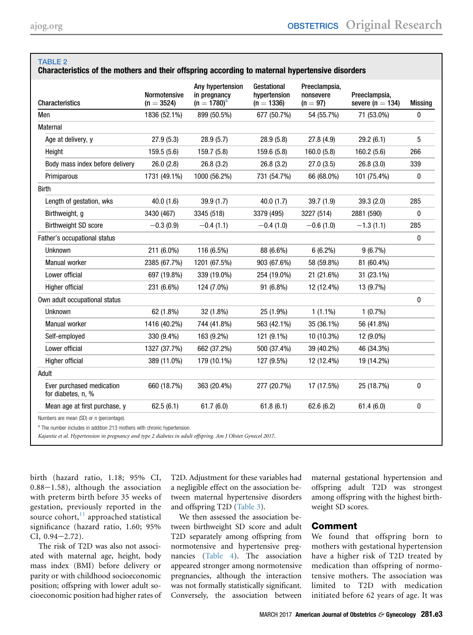<span id="page-2-0"></span>TABLE 2

| <b>Characteristics</b>                          | <b>Normotensive</b><br>$(n = 3524)$ | Any hypertension<br>in pregnancy<br>$(n = 1780)^{a}$ | Gestational<br>hypertension<br>$(n = 1336)$ | Preeclampsia,<br>nonsevere<br>$(n = 97)$ | Preeclampsia.<br>severe ( $n = 134$ ) | <b>Missing</b> |
|-------------------------------------------------|-------------------------------------|------------------------------------------------------|---------------------------------------------|------------------------------------------|---------------------------------------|----------------|
| Men                                             | 1836 (52.1%)                        | 899 (50.5%)                                          | 677 (50.7%)                                 | 54 (55.7%)                               | 71 (53.0%)                            | 0              |
| Maternal                                        |                                     |                                                      |                                             |                                          |                                       |                |
| Age at delivery, y                              | 27.9(5.3)                           | 28.9(5.7)                                            | 28.9(5.8)                                   | 27.8(4.9)                                | 29.2(6.1)                             | 5              |
| Height                                          | 159.5 (5.6)                         | 159.7 (5.8)                                          | 159.6 (5.8)                                 | 160.0(5.8)                               | 160.2(5.6)                            | 266            |
| Body mass index before delivery                 | 26.0(2.8)                           | 26.8(3.2)                                            | 26.8(3.2)                                   | 27.0(3.5)                                | 26.8(3.0)                             | 339            |
| Primiparous                                     | 1731 (49.1%)                        | 1000 (56.2%)                                         | 731 (54.7%)                                 | 66 (68.0%)                               | 101 (75.4%)                           | 0              |
| <b>Birth</b>                                    |                                     |                                                      |                                             |                                          |                                       |                |
| Length of gestation, wks                        | 40.0(1.6)                           | 39.9 (1.7)                                           | 40.0(1.7)                                   | 39.7(1.9)                                | 39.3 (2.0)                            | 285            |
| Birthweight, g                                  | 3430 (467)                          | 3345 (518)                                           | 3379 (495)                                  | 3227 (514)                               | 2881 (590)                            | 0              |
| <b>Birthweight SD score</b>                     | $-0.3(0.9)$                         | $-0.4(1.1)$                                          | $-0.4(1.0)$                                 | $-0.6(1.0)$                              | $-1.3(1.1)$                           | 285            |
| Father's occupational status                    |                                     |                                                      |                                             |                                          |                                       | 0              |
| Unknown                                         | 211 (6.0%)                          | 116 (6.5%)                                           | 88 (6.6%)                                   | $6(6.2\%)$                               | 9(6.7%)                               |                |
| Manual worker                                   | 2385 (67.7%)                        | 1201 (67.5%)                                         | 903 (67.6%)                                 | 58 (59.8%)                               | 81 (60.4%)                            |                |
| Lower official                                  | 697 (19.8%)                         | 339 (19.0%)                                          | 254 (19.0%)                                 | 21 (21.6%)                               | 31 (23.1%)                            |                |
| Higher official                                 | 231 (6.6%)                          | 124 (7.0%)                                           | 91 (6.8%)                                   | 12 (12.4%)                               | 13 (9.7%)                             |                |
| Own adult occupational status                   |                                     |                                                      |                                             |                                          |                                       | 0              |
| <b>Unknown</b>                                  | 62 (1.8%)                           | 32 (1.8%)                                            | 25 (1.9%)                                   | $1(1.1\%)$                               | $1(0.7\%)$                            |                |
| Manual worker                                   | 1416 (40.2%)                        | 744 (41.8%)                                          | 563 (42.1%)                                 | 35 (36.1%)                               | 56 (41.8%)                            |                |
| Self-employed                                   | 330 (9.4%)                          | 163 (9.2%)                                           | 121 (9.1%)                                  | 10 (10.3%)                               | 12 (9.0%)                             |                |
| Lower official                                  | 1327 (37.7%)                        | 662 (37.2%)                                          | 500 (37.4%)                                 | 39 (40.2%)                               | 46 (34.3%)                            |                |
| Higher official                                 | 389 (11.0%)                         | 179 (10.1%)                                          | 127 (9.5%)                                  | 12 (12.4%)                               | 19 (14.2%)                            |                |
| Adult                                           |                                     |                                                      |                                             |                                          |                                       |                |
| Ever purchased medication<br>for diabetes, n, % | 660 (18.7%)                         | 363 (20.4%)                                          | 277 (20.7%)                                 | 17 (17.5%)                               | 25 (18.7%)                            | 0              |
| Mean age at first purchase, y                   | 62.5(6.1)                           | 61.7(6.0)                                            | 61.8(6.1)                                   | 62.6(6.2)                                | 61.4(6.0)                             | 0              |

The number includes in addition 213 mothers with chronic hypertension.

Kajantie et al. Hypertension in pregnancy and type 2 diabetes in adult offspring. Am J Obstet Gynecol 2017.

birth (hazard ratio, 1.18; 95% CI,  $0.88-1.58$ ), although the association with preterm birth before 35 weeks of gestation, previously reported in the source cohort, $11$  approached statistical significance (hazard ratio, 1.60; 95%  $CI, 0.94-2.72$ .

The risk of T2D was also not associated with maternal age, height, body mass index (BMI) before delivery or parity or with childhood socioeconomic position; offspring with lower adult socioeconomic position had higher rates of T2D. Adjustment for these variables had a negligible effect on the association between maternal hypertensive disorders and offspring T2D ([Table 3](#page-3-0)).

We then assessed the association between birthweight SD score and adult T2D separately among offspring from normotensive and hypertensive pregnancies [\(Table 4\)](#page-4-0). The association appeared stronger among normotensive pregnancies, although the interaction was not formally statistically significant. Conversely, the association between

maternal gestational hypertension and offspring adult T2D was strongest among offspring with the highest birthweight SD scores.

### Comment

We found that offspring born to mothers with gestational hypertension have a higher risk of T2D treated by medication than offspring of normotensive mothers. The association was limited to T2D with medication initiated before 62 years of age. It was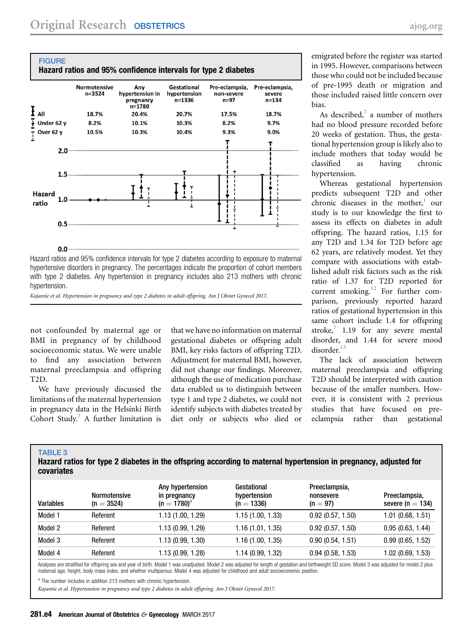<span id="page-3-0"></span>

hypertensive disorders in pregnancy. The percentages indicate the proportion of cohort members with type 2 diabetes. Any hypertension in pregnancy includes also 213 mothers with chronic hypertension.

Kajantie et al. Hypertension in pregnancy and type 2 diabetes in adult offspring. Am J Obstet Gynecol 2017.

not confounded by maternal age or BMI in pregnancy of by childhood socioeconomic status. We were unable to find any association between maternal preeclampsia and offspring T2D.

We have previously discussed the limitations of the maternal hypertension in pregnancy data in the Helsinki Birth Cohort Study. $^7$  $^7$  A further limitation is

TABLE 3

that we have no information on maternal gestational diabetes or offspring adult BMI, key risks factors of offspring T2D. Adjustment for maternal BMI, however, did not change our findings. Moreover, although the use of medication purchase data enabled us to distinguish between type 1 and type 2 diabetes, we could not identify subjects with diabetes treated by diet only or subjects who died or

emigrated before the register was started in 1995. However, comparisons between those who could not be included because of pre-1995 death or migration and those included raised little concern over bias.

As described, $^7$  $^7$  a number of mothers had no blood pressure recorded before 20 weeks of gestation. Thus, the gestational hypertension group is likely also to include mothers that today would be classified as having chronic hypertension.

Whereas gestational hypertension predicts subsequent T2D and other chronic diseases in the mother, $\frac{1}{1}$  $\frac{1}{1}$  $\frac{1}{1}$  our study is to our knowledge the first to assess its effects on diabetes in adult offspring. The hazard ratios, 1.15 for any T2D and 1.34 for T2D before age 62 years, are relatively modest. Yet they compare with associations with established adult risk factors such as the risk ratio of 1.37 for T2D reported for current smoking.<sup>[12](#page-4-0)</sup> For further comparison, previously reported hazard ratios of gestational hypertension in this same cohort include 1.4 for offspring stroke, $\frac{7}{1.19}$  $\frac{7}{1.19}$  $\frac{7}{1.19}$  for any severe mental disorder, and 1.44 for severe mood disorder.[13](#page-4-0)

The lack of association between maternal preeclampsia and offspring T2D should be interpreted with caution because of the smaller numbers. However, it is consistent with 2 previous studies that have focused on preeclampsia rather than gestational

| Hazard ratios for type 2 diabetes in the offspring according to maternal hypertension in pregnancy, adjusted for<br>covariates |                                     |                                                      |                                             |                                          |                                       |  |
|--------------------------------------------------------------------------------------------------------------------------------|-------------------------------------|------------------------------------------------------|---------------------------------------------|------------------------------------------|---------------------------------------|--|
| <b>Variables</b>                                                                                                               | <b>Normotensive</b><br>$(n = 3524)$ | Any hypertension<br>in pregnancy<br>$(n = 1780)^{a}$ | Gestational<br>hypertension<br>$(n = 1336)$ | Preeclampsia,<br>nonsevere<br>$(n = 97)$ | Preeclampsia,<br>severe ( $n = 134$ ) |  |
| Model 1                                                                                                                        | Referent                            | 1.13 (1.00, 1.29)                                    | 1.15(1.00, 1.33)                            | 0.92(0.57, 1.50)                         | $1.01$ (0.68, 1.51)                   |  |
| Model 2                                                                                                                        | Referent                            | 1.13 (0.99, 1.29)                                    | 1.16(1.01, 1.35)                            | 0.92(0.57, 1.50)                         | 0.95(0.63, 1.44)                      |  |
| Model 3                                                                                                                        | Referent                            | 1.13 (0.99, 1.30)                                    | 1.16(1.00, 1.35)                            | 0.90(0.54, 1.51)                         | 0.99(0.65, 1.52)                      |  |
| Model 4                                                                                                                        | Referent                            | 1.13 (0.99, 1.28)                                    | 1.14 (0.99, 1.32)                           | 0.94(0.58, 1.53)                         | 1.02 (0.69, 1.53)                     |  |

Analyses are stratified for offspring sex and year of birth. Model 1 was unadjusted. Model 2 was adjusted for length of gestation and birthweight SD score. Model 3 was adjusted for model 2 plus maternal age, height, body mass index, and whether multiparous. Model 4 was adjusted for childhood and adult socioeconomic position.

The number includes in addition 213 mothers with chronic hypertension.

Kajantie et al. Hypertension in pregnancy and type 2 diabetes in adult offspring. Am J Obstet Gynecol 2017.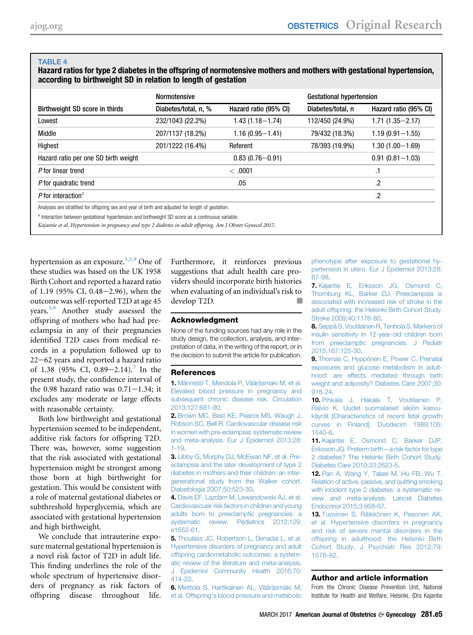#### <span id="page-4-0"></span>TABLE 4

Hazard ratios for type 2 diabetes in the offspring of normotensive mothers and mothers with gestational hypertension, according to birthweight SD in relation to length of gestation

|                                                                                                   | <b>Normotensive</b>  |                       | <b>Gestational hypertension</b> |                       |  |
|---------------------------------------------------------------------------------------------------|----------------------|-----------------------|---------------------------------|-----------------------|--|
| Birthweight SD score in thirds                                                                    | Diabetes/total, n, % | Hazard ratio (95% CI) | Diabetes/total, n               | Hazard ratio (95% CI) |  |
| Lowest                                                                                            | 232/1043 (22.2%)     | $1.43(1.18 - 1.74)$   | 112/450 (24.9%)                 | $1.71(1.35 - 2.17)$   |  |
| Middle                                                                                            | 207/1137 (18.2%)     | $1.16(0.95 - 1.41)$   | 79/432 (18.3%)                  | $1.19(0.91 - 1.55)$   |  |
| Highest                                                                                           | 201/1222 (16.4%)     | Referent              | 78/393 (19.9%)                  | $1.30(1.00 - 1.69)$   |  |
| Hazard ratio per one SD birth weight                                                              |                      | $0.83(0.76 - 0.91)$   |                                 | $0.91(0.81 - 1.03)$   |  |
| P for linear trend                                                                                |                      | <.0001                |                                 | .1                    |  |
| P for quadratic trend                                                                             |                      | .05                   |                                 | .2                    |  |
| P for interaction <sup>a</sup>                                                                    |                      |                       |                                 | .2                    |  |
| Analyses are stratified for offspring sex and year of birth and adjusted for length of gestation. |                      |                       |                                 |                       |  |
| a Interaction between gestational hypertension and birthweight SD score as a continuous variable. |                      |                       |                                 |                       |  |

Kajantie et al. Hypertension in pregnancy and type 2 diabetes in adult offspring. Am J Obstet Gynecol 2017.

hypertension as an exposure.<sup>3,5,9</sup> One of these studies was based on the UK 1958 Birth Cohort and reported a hazard ratio of 1.19 (95% CI, 0.48–2.96), when the outcome was self-reported T2D at age 45 years.5,9 Another study assessed the offspring of mothers who had had preeclampsia in any of their pregnancies identified T2D cases from medical records in a population followed up to  $22-62$  years and reported a hazard ratio of 1.38 (95% CI, 0.89–2.14).<sup>3</sup> In the present study, the confidence interval of the 0.98 hazard ratio was  $0.71-1.34$ ; it excludes any moderate or large effects with reasonable certainty.

Both low birthweight and gestational hypertension seemed to be independent, additive risk factors for offspring T2D. There was, however, some suggestion that the risk associated with gestational hypertension might be strongest among those born at high birthweight for gestation. This would be consistent with a role of maternal gestational diabetes or subthreshold hyperglycemia, which are associated with gestational hypertension and high birthweight.

We conclude that intrauterine exposure maternal gestational hypertension is a novel risk factor of T2D in adult life. This finding underlines the role of the whole spectrum of hypertensive disorders of pregnancy as risk factors of offspring disease throughout life.

Furthermore, it reinforces previous suggestions that adult health care providers should incorporate birth histories when evaluating of an individual's risk to develop T2D.

#### Acknowledgment

None of the funding sources had any role in the study design, the collection, analysis, and interpretation of data, in the writing of the report, or in the decision to submit the article for publication.

#### References

1. [Männistö T, Mendola P, Vääräsmaki M, et al.](http://refhub.elsevier.com/S0002-9378(16)30977-2/sref1) [Elevated blood pressure in pregnancy and](http://refhub.elsevier.com/S0002-9378(16)30977-2/sref1) [subsequent chronic disease risk. Circulation](http://refhub.elsevier.com/S0002-9378(16)30977-2/sref1) [2013;127:681-90](http://refhub.elsevier.com/S0002-9378(16)30977-2/sref1).

2. [Brown MC, Best KE, Pearce MS, Waugh J,](http://refhub.elsevier.com/S0002-9378(16)30977-2/sref2) [Robson SC, Bell R. Cardiovascular disease risk](http://refhub.elsevier.com/S0002-9378(16)30977-2/sref2) [in women with pre-eclampsia: systematic review](http://refhub.elsevier.com/S0002-9378(16)30977-2/sref2) [and meta-analysis. Eur J Epidemiol 2013;28:](http://refhub.elsevier.com/S0002-9378(16)30977-2/sref2) [1-19](http://refhub.elsevier.com/S0002-9378(16)30977-2/sref2).

3. [Libby G, Murphy DJ, McEwan NF, et al. Pre](http://refhub.elsevier.com/S0002-9378(16)30977-2/sref3)[eclampsia and the later development of type 2](http://refhub.elsevier.com/S0002-9378(16)30977-2/sref3) [diabetes in mothers and their children: an inter](http://refhub.elsevier.com/S0002-9378(16)30977-2/sref3)[generational study from the Walker cohort.](http://refhub.elsevier.com/S0002-9378(16)30977-2/sref3) [Diabetologia 2007;50:523-30.](http://refhub.elsevier.com/S0002-9378(16)30977-2/sref3)

4. [Davis EF, Lazdam M, Lewandowski AJ, et al.](http://refhub.elsevier.com/S0002-9378(16)30977-2/sref4) [Cardiovascular risk factors in children and young](http://refhub.elsevier.com/S0002-9378(16)30977-2/sref4) [adults born to preeclamptic pregnancies: a](http://refhub.elsevier.com/S0002-9378(16)30977-2/sref4) [systematic review. Pediatrics 2012;129:](http://refhub.elsevier.com/S0002-9378(16)30977-2/sref4) [e1552-61.](http://refhub.elsevier.com/S0002-9378(16)30977-2/sref4)

5. [Thoulass JC, Robertson L, Denadai L, et al.](http://refhub.elsevier.com/S0002-9378(16)30977-2/sref5) [Hypertensive disorders of pregnancy and adult](http://refhub.elsevier.com/S0002-9378(16)30977-2/sref5) [offspring cardiometabolic outcomes: a system](http://refhub.elsevier.com/S0002-9378(16)30977-2/sref5)[atic review of the literature and meta-analysis.](http://refhub.elsevier.com/S0002-9378(16)30977-2/sref5) [J Epidemiol Community Health 2016;70:](http://refhub.elsevier.com/S0002-9378(16)30977-2/sref5) [414-22](http://refhub.elsevier.com/S0002-9378(16)30977-2/sref5).

6. [Miettola S, Hartikainen AL, Vääräsmäki M,](http://refhub.elsevier.com/S0002-9378(16)30977-2/sref6) et al. Offspring'[s blood pressure and metabolic](http://refhub.elsevier.com/S0002-9378(16)30977-2/sref6) [phenotype after exposure to gestational hy](http://refhub.elsevier.com/S0002-9378(16)30977-2/sref6)[pertension in utero. Eur J Epidemiol 2013;28:](http://refhub.elsevier.com/S0002-9378(16)30977-2/sref6) [87-98](http://refhub.elsevier.com/S0002-9378(16)30977-2/sref6).

7. [Kajantie E, Eriksson JG, Osmond C,](http://refhub.elsevier.com/S0002-9378(16)30977-2/sref7) [Thornburg KL, Barker DJ. Preeclampsia is](http://refhub.elsevier.com/S0002-9378(16)30977-2/sref7) [associated with increased risk of stroke in the](http://refhub.elsevier.com/S0002-9378(16)30977-2/sref7) [adult offspring: the Helsinki Birth Cohort Study.](http://refhub.elsevier.com/S0002-9378(16)30977-2/sref7) [Stroke 2009;40:1176-80.](http://refhub.elsevier.com/S0002-9378(16)30977-2/sref7)

8. [Seppä S, Voutilainen R, Tenhola S. Markers of](http://refhub.elsevier.com/S0002-9378(16)30977-2/sref8) [insulin sensitivity in 12-year-old children born](http://refhub.elsevier.com/S0002-9378(16)30977-2/sref8) [from preeclamptic pregnancies. J Pediatr](http://refhub.elsevier.com/S0002-9378(16)30977-2/sref8) [2015;167:125-30](http://refhub.elsevier.com/S0002-9378(16)30977-2/sref8).

9. [Thomas C, Hyppönen E, Power C. Prenatal](http://refhub.elsevier.com/S0002-9378(16)30977-2/sref9) [exposures and glucose metabolism in adult](http://refhub.elsevier.com/S0002-9378(16)30977-2/sref9)[hood: are effects mediated through birth](http://refhub.elsevier.com/S0002-9378(16)30977-2/sref9) [weight and adiposity? Diabetes Care 2007;30:](http://refhub.elsevier.com/S0002-9378(16)30977-2/sref9) [918-24](http://refhub.elsevier.com/S0002-9378(16)30977-2/sref9).

10. [Pihkala J, Hakala T, Voutilainen P,](http://refhub.elsevier.com/S0002-9378(16)30977-2/sref10) [Raivio K. Uudet suomalaiset sikiön kasvu](http://refhub.elsevier.com/S0002-9378(16)30977-2/sref10)[käyrät \[Characteristics of recent fetal growth](http://refhub.elsevier.com/S0002-9378(16)30977-2/sref10) [curves in Finland\]. Duodecim 1989;105:](http://refhub.elsevier.com/S0002-9378(16)30977-2/sref10) [1540-6.](http://refhub.elsevier.com/S0002-9378(16)30977-2/sref10)

11. [Kajantie E, Osmond C, Barker DJP,](http://refhub.elsevier.com/S0002-9378(16)30977-2/sref11) [Eriksson JG. Preterm birth](http://refhub.elsevier.com/S0002-9378(16)30977-2/sref11)—a risk factor for type [2 diabetes? The Helsinki Birth Cohort Study.](http://refhub.elsevier.com/S0002-9378(16)30977-2/sref11) [Diabetes Care 2010;33:2623-5](http://refhub.elsevier.com/S0002-9378(16)30977-2/sref11).

12. [Pan A, Wang Y, Talaei M, Hu FB, Wu T.](http://refhub.elsevier.com/S0002-9378(16)30977-2/sref12) [Relation of active, passive, and quitting smoking](http://refhub.elsevier.com/S0002-9378(16)30977-2/sref12) [with incident type 2 diabetes: a systematic re](http://refhub.elsevier.com/S0002-9378(16)30977-2/sref12)[view and meta-analysis. Lancet Diabetes](http://refhub.elsevier.com/S0002-9378(16)30977-2/sref12) [Endocrinol 2015;3:958-67.](http://refhub.elsevier.com/S0002-9378(16)30977-2/sref12)

13. [Tuovinen S, Räikkönen K, Pesonen AK,](http://refhub.elsevier.com/S0002-9378(16)30977-2/sref13) [et al. Hypertensive disorders in pregnancy](http://refhub.elsevier.com/S0002-9378(16)30977-2/sref13) [and risk of severe mental disorders in the](http://refhub.elsevier.com/S0002-9378(16)30977-2/sref13) [offspring in adulthood: the Helsinki Birth](http://refhub.elsevier.com/S0002-9378(16)30977-2/sref13) [Cohort Study. J Psychiatr Res 2012;79:](http://refhub.elsevier.com/S0002-9378(16)30977-2/sref13) [1578-82](http://refhub.elsevier.com/S0002-9378(16)30977-2/sref13).

#### Author and article information

From the Chronic Disease Prevention Unit, National Institute for Health and Welfare, Helsinki, (Drs Kajantie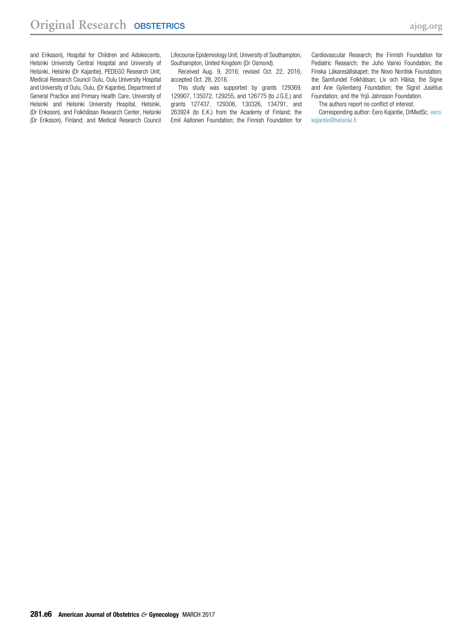and Eriksson), Hospital for Children and Adolescents, Helsinki University Central Hospital and University of Helsinki, Helsinki (Dr Kajantie), PEDEGO Research Unit, Medical Research Council Oulu, Oulu University Hospital and University of Oulu, Oulu, (Dr Kajantie), Department of General Practice and Primary Health Care, University of Helsinki and Helsinki University Hospital, Helsinki, (Dr Eriksson), and Folkhälsan Research Center, Helsinki (Dr Eriksson), Finland; and Medical Research Council Lifecourse Epidemiology Unit, University of Southampton, Southampton, United Kingdom (Dr Osmond).

Received Aug. 9, 2016; revised Oct. 22, 2016; accepted Oct. 28, 2016.

This study was supported by grants 129369, 129907, 135072, 129255, and 126775 (to J.G.E.) and grants 127437, 129306, 130326, 134791, and 263924 (to E.K.) from the Academy of Finland; the Emil Aaltonen Foundation; the Finnish Foundation for Cardiovascular Research; the Finnish Foundation for Pediatric Research; the Juho Vainio Foundation; the Finska Läkaresällskapet; the Novo Nordisk Foundation; the Samfundet Folkhälsan; Liv och Hälsa; the Signe and Ane Gyllenberg Foundation; the Sigrid Jusélius Foundation; and the Yrjö Jahnsson Foundation.

The authors report no conflict of interest.

Corresponding author: Eero Kajantie, DrMedSc. [eero.](mailto:eero.kajantie@helsinki.fi) [kajantie@helsinki.fi](mailto:eero.kajantie@helsinki.fi)